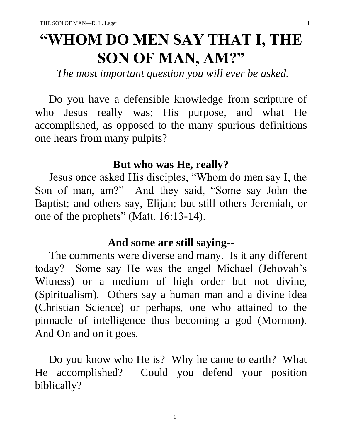# **"WHOM DO MEN SAY THAT I, THE SON OF MAN, AM?"**

*The most important question you will ever be asked.*

 Do you have a defensible knowledge from scripture of who Jesus really was; His purpose, and what He accomplished, as opposed to the many spurious definitions one hears from many pulpits?

#### **But who was He, really?**

 Jesus once asked His disciples, "Whom do men say I, the Son of man, am?" And they said, "Some say John the Baptist; and others say, Elijah; but still others Jeremiah, or one of the prophets" (Matt. 16:13-14).

## **And some are still saying--**

 The comments were diverse and many. Is it any different today? Some say He was the angel Michael (Jehovah's Witness) or a medium of high order but not divine, (Spiritualism). Others say a human man and a divine idea (Christian Science) or perhaps, one who attained to the pinnacle of intelligence thus becoming a god (Mormon). And On and on it goes.

 Do you know who He is? Why he came to earth? What He accomplished? Could you defend your position biblically?

1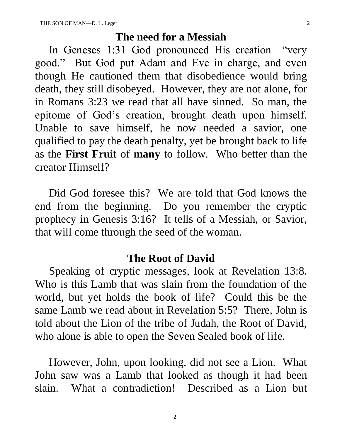#### **The need for a Messiah**

 In Geneses 1:31 God pronounced His creation "very good." But God put Adam and Eve in charge, and even though He cautioned them that disobedience would bring death, they still disobeyed. However, they are not alone, for in Romans 3:23 we read that all have sinned. So man, the epitome of God's creation, brought death upon himself. Unable to save himself, he now needed a savior, one qualified to pay the death penalty, yet be brought back to life as the **First Fruit** of **many** to follow. Who better than the creator Himself?

 Did God foresee this? We are told that God knows the end from the beginning. Do you remember the cryptic prophecy in Genesis 3:16? It tells of a Messiah, or Savior, that will come through the seed of the woman.

#### **The Root of David**

 Speaking of cryptic messages, look at Revelation 13:8. Who is this Lamb that was slain from the foundation of the world, but yet holds the book of life? Could this be the same Lamb we read about in Revelation 5:5? There, John is told about the Lion of the tribe of Judah, the Root of David, who alone is able to open the Seven Sealed book of life.

 However, John, upon looking, did not see a Lion. What John saw was a Lamb that looked as though it had been slain. What a contradiction! Described as a Lion but

2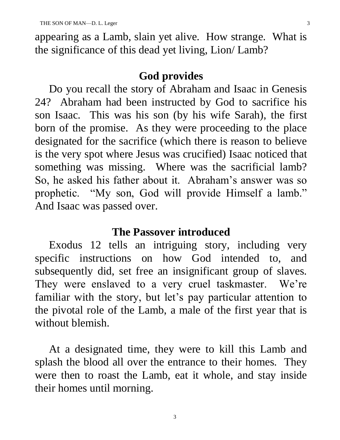appearing as a Lamb, slain yet alive. How strange. What is the significance of this dead yet living, Lion/ Lamb?

### **God provides**

 Do you recall the story of Abraham and Isaac in Genesis 24? Abraham had been instructed by God to sacrifice his son Isaac. This was his son (by his wife Sarah), the first born of the promise. As they were proceeding to the place designated for the sacrifice (which there is reason to believe is the very spot where Jesus was crucified) Isaac noticed that something was missing. Where was the sacrificial lamb? So, he asked his father about it. Abraham's answer was so prophetic. "My son, God will provide Himself a lamb." And Isaac was passed over.

#### **The Passover introduced**

 Exodus 12 tells an intriguing story, including very specific instructions on how God intended to, and subsequently did, set free an insignificant group of slaves. They were enslaved to a very cruel taskmaster. We're familiar with the story, but let's pay particular attention to the pivotal role of the Lamb, a male of the first year that is without blemish.

 At a designated time, they were to kill this Lamb and splash the blood all over the entrance to their homes. They were then to roast the Lamb, eat it whole, and stay inside their homes until morning.

3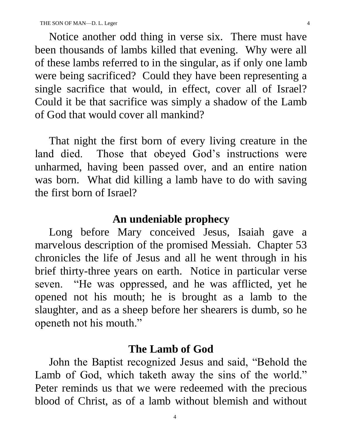Notice another odd thing in verse six. There must have been thousands of lambs killed that evening. Why were all of these lambs referred to in the singular, as if only one lamb were being sacrificed? Could they have been representing a single sacrifice that would, in effect, cover all of Israel? Could it be that sacrifice was simply a shadow of the Lamb of God that would cover all mankind?

 That night the first born of every living creature in the land died. Those that obeyed God's instructions were unharmed, having been passed over, and an entire nation was born. What did killing a lamb have to do with saving the first born of Israel?

#### **An undeniable prophecy**

 Long before Mary conceived Jesus, Isaiah gave a marvelous description of the promised Messiah. Chapter 53 chronicles the life of Jesus and all he went through in his brief thirty-three years on earth. Notice in particular verse seven. "He was oppressed, and he was afflicted, yet he opened not his mouth; he is brought as a lamb to the slaughter, and as a sheep before her shearers is dumb, so he openeth not his mouth."

#### **The Lamb of God**

 John the Baptist recognized Jesus and said, "Behold the Lamb of God, which taketh away the sins of the world." Peter reminds us that we were redeemed with the precious blood of Christ, as of a lamb without blemish and without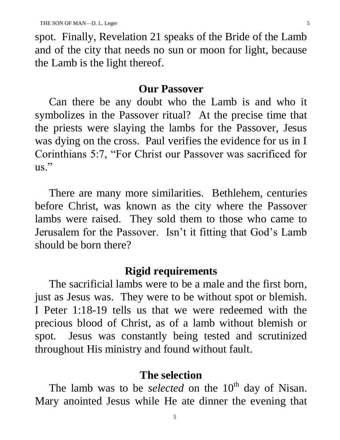spot. Finally, Revelation 21 speaks of the Bride of the Lamb and of the city that needs no sun or moon for light, because the Lamb is the light thereof.

#### **Our Passover**

 Can there be any doubt who the Lamb is and who it symbolizes in the Passover ritual? At the precise time that the priests were slaying the lambs for the Passover, Jesus was dying on the cross. Paul verifies the evidence for us in I Corinthians 5:7, "For Christ our Passover was sacrificed for  $\text{us.}^{\text{''}}$ 

 There are many more similarities. Bethlehem, centuries before Christ, was known as the city where the Passover lambs were raised. They sold them to those who came to Jerusalem for the Passover. Isn't it fitting that God's Lamb should be born there?

#### **Rigid requirements**

 The sacrificial lambs were to be a male and the first born, just as Jesus was. They were to be without spot or blemish. I Peter 1:18-19 tells us that we were redeemed with the precious blood of Christ, as of a lamb without blemish or spot. Jesus was constantly being tested and scrutinized throughout His ministry and found without fault.

#### **The selection**

The lamb was to be *selected* on the 10<sup>th</sup> day of Nisan. Mary anointed Jesus while He ate dinner the evening that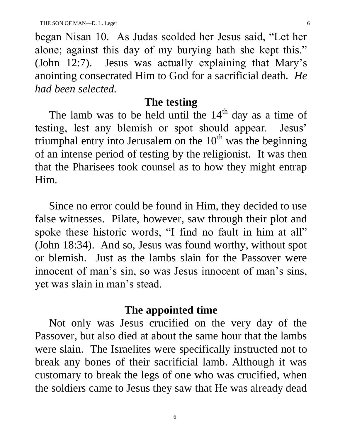began Nisan 10. As Judas scolded her Jesus said, "Let her alone; against this day of my burying hath she kept this." (John 12:7). Jesus was actually explaining that Mary's anointing consecrated Him to God for a sacrificial death. *He had been selected.*

### **The testing**

The lamb was to be held until the  $14<sup>th</sup>$  day as a time of testing, lest any blemish or spot should appear. Jesus' triumphal entry into Jerusalem on the  $10<sup>th</sup>$  was the beginning of an intense period of testing by the religionist. It was then that the Pharisees took counsel as to how they might entrap Him.

 Since no error could be found in Him, they decided to use false witnesses. Pilate, however, saw through their plot and spoke these historic words, "I find no fault in him at all" (John 18:34). And so, Jesus was found worthy, without spot or blemish. Just as the lambs slain for the Passover were innocent of man's sin, so was Jesus innocent of man's sins, yet was slain in man's stead.

# **The appointed time**

 Not only was Jesus crucified on the very day of the Passover, but also died at about the same hour that the lambs were slain. The Israelites were specifically instructed not to break any bones of their sacrificial lamb. Although it was customary to break the legs of one who was crucified, when the soldiers came to Jesus they saw that He was already dead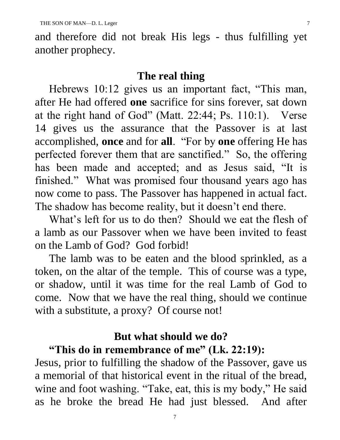and therefore did not break His legs - thus fulfilling yet another prophecy.

#### **The real thing**

 Hebrews 10:12 gives us an important fact, "This man, after He had offered **one** sacrifice for sins forever, sat down at the right hand of God" (Matt. 22:44; Ps. 110:1). Verse 14 gives us the assurance that the Passover is at last accomplished, **once** and for **all**. "For by **one** offering He has perfected forever them that are sanctified." So, the offering has been made and accepted; and as Jesus said, "It is finished." What was promised four thousand years ago has now come to pass. The Passover has happened in actual fact. The shadow has become reality, but it doesn't end there.

 What's left for us to do then? Should we eat the flesh of a lamb as our Passover when we have been invited to feast on the Lamb of God? God forbid!

 The lamb was to be eaten and the blood sprinkled, as a token, on the altar of the temple. This of course was a type, or shadow, until it was time for the real Lamb of God to come. Now that we have the real thing, should we continue with a substitute, a proxy? Of course not!

# **But what should we do?**

## **"This do in remembrance of me" (Lk. 22:19):**

Jesus, prior to fulfilling the shadow of the Passover, gave us a memorial of that historical event in the ritual of the bread, wine and foot washing. "Take, eat, this is my body," He said as he broke the bread He had just blessed. And after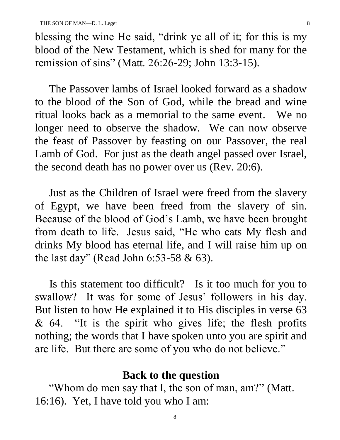blessing the wine He said, "drink ye all of it; for this is my blood of the New Testament, which is shed for many for the remission of sins" (Matt. 26:26-29; John 13:3-15).

 The Passover lambs of Israel looked forward as a shadow to the blood of the Son of God, while the bread and wine ritual looks back as a memorial to the same event. We no longer need to observe the shadow. We can now observe the feast of Passover by feasting on our Passover, the real Lamb of God. For just as the death angel passed over Israel, the second death has no power over us (Rev. 20:6).

 Just as the Children of Israel were freed from the slavery of Egypt, we have been freed from the slavery of sin. Because of the blood of God's Lamb, we have been brought from death to life. Jesus said, "He who eats My flesh and drinks My blood has eternal life, and I will raise him up on the last day" (Read John 6:53-58 & 63).

 Is this statement too difficult? Is it too much for you to swallow? It was for some of Jesus' followers in his day. But listen to how He explained it to His disciples in verse 63  $& 64.$  "It is the spirit who gives life; the flesh profits nothing; the words that I have spoken unto you are spirit and are life. But there are some of you who do not believe."

### **Back to the question**

 "Whom do men say that I, the son of man, am?" (Matt. 16:16). Yet, I have told you who I am: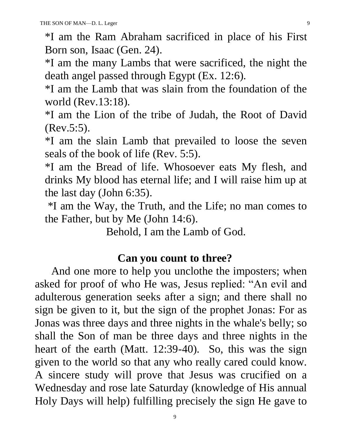\*I am the Ram Abraham sacrificed in place of his First Born son, Isaac (Gen. 24).

\*I am the many Lambs that were sacrificed, the night the death angel passed through Egypt (Ex. 12:6).

\*I am the Lamb that was slain from the foundation of the world (Rev.13:18).

\*I am the Lion of the tribe of Judah, the Root of David (Rev.5:5).

\*I am the slain Lamb that prevailed to loose the seven seals of the book of life (Rev. 5:5).

\*I am the Bread of life. Whosoever eats My flesh, and drinks My blood has eternal life; and I will raise him up at the last day (John 6:35).

\*I am the Way, the Truth, and the Life; no man comes to the Father, but by Me (John 14:6).

Behold, I am the Lamb of God.

### **Can you count to three?**

 And one more to help you unclothe the imposters; when asked for proof of who He was, Jesus replied: "An evil and adulterous generation seeks after a sign; and there shall no sign be given to it, but the sign of the prophet Jonas: For as Jonas was three days and three nights in the whale's belly; so shall the Son of man be three days and three nights in the heart of the earth (Matt. 12:39-40). So, this was the sign given to the world so that any who really cared could know. A sincere study will prove that Jesus was crucified on a Wednesday and rose late Saturday (knowledge of His annual Holy Days will help) fulfilling precisely the sign He gave to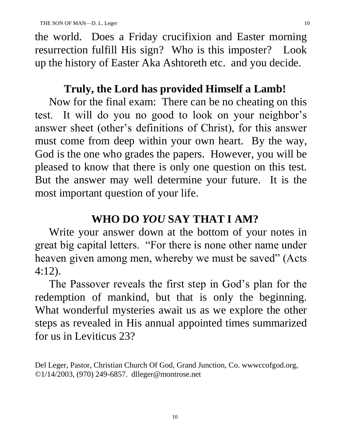the world. Does a Friday crucifixion and Easter morning resurrection fulfill His sign? Who is this imposter? Look up the history of Easter Aka Ashtoreth etc. and you decide.

# **Truly, the Lord has provided Himself a Lamb!**

 Now for the final exam: There can be no cheating on this test. It will do you no good to look on your neighbor's answer sheet (other's definitions of Christ), for this answer must come from deep within your own heart. By the way, God is the one who grades the papers. However, you will be pleased to know that there is only one question on this test. But the answer may well determine your future. It is the most important question of your life.

# **WHO DO** *YOU* **SAY THAT I AM?**

 Write your answer down at the bottom of your notes in great big capital letters. "For there is none other name under heaven given among men, whereby we must be saved" (Acts 4:12).

 The Passover reveals the first step in God's plan for the redemption of mankind, but that is only the beginning. What wonderful mysteries await us as we explore the other steps as revealed in His annual appointed times summarized for us in Leviticus 23?

Del Leger, Pastor, Christian Church Of God, Grand Junction, Co. wwwccofgod.org, ©1/14/2003, (970) 249-6857. dlleger@montrose.net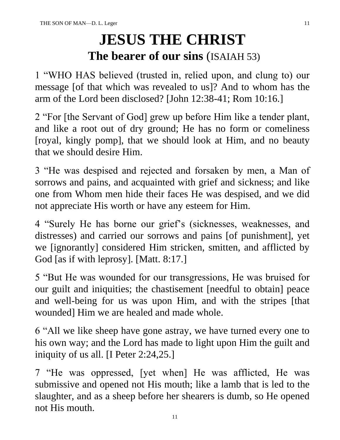# **JESUS THE CHRIST The bearer of our sins** (ISAIAH 53)

1 "WHO HAS believed (trusted in, relied upon, and clung to) our message [of that which was revealed to us]? And to whom has the arm of the Lord been disclosed? [John 12:38-41; Rom 10:16.]

2 "For [the Servant of God] grew up before Him like a tender plant, and like a root out of dry ground; He has no form or comeliness [royal, kingly pomp], that we should look at Him, and no beauty that we should desire Him.

3 "He was despised and rejected and forsaken by men, a Man of sorrows and pains, and acquainted with grief and sickness; and like one from Whom men hide their faces He was despised, and we did not appreciate His worth or have any esteem for Him.

4 "Surely He has borne our grief's (sicknesses, weaknesses, and distresses) and carried our sorrows and pains [of punishment], yet we [ignorantly] considered Him stricken, smitten, and afflicted by God [as if with leprosy]. [Matt. 8:17.]

5 "But He was wounded for our transgressions, He was bruised for our guilt and iniquities; the chastisement [needful to obtain] peace and well-being for us was upon Him, and with the stripes [that wounded] Him we are healed and made whole.

6 "All we like sheep have gone astray, we have turned every one to his own way; and the Lord has made to light upon Him the guilt and iniquity of us all. [I Peter 2:24,25.]

7 "He was oppressed, [yet when] He was afflicted, He was submissive and opened not His mouth; like a lamb that is led to the slaughter, and as a sheep before her shearers is dumb, so He opened not His mouth.